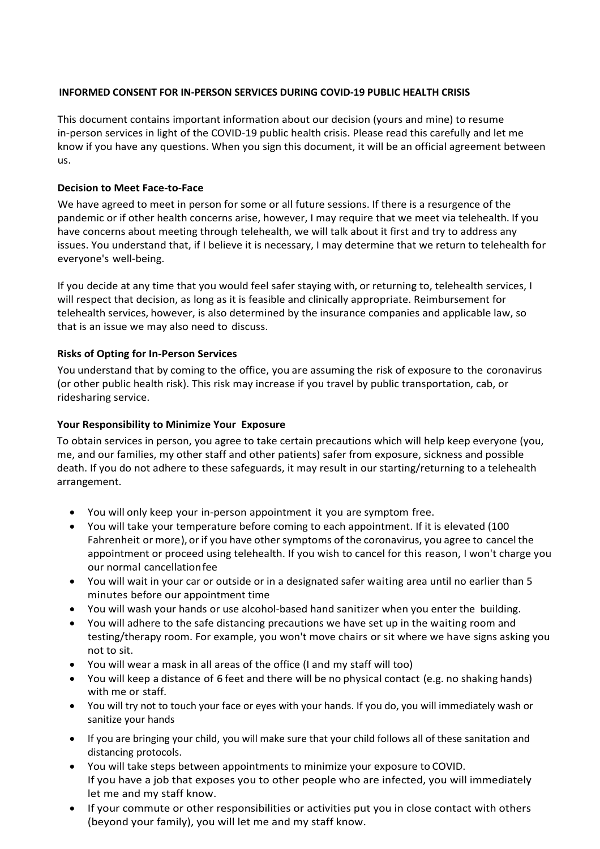## **INFORMED CONSENT FOR IN-PERSON SERVICES DURING COVID-19 PUBLIC HEALTH CRISIS**

This document contains important information about our decision (yours and mine) to resume in-person services in light of the COVID-19 public health crisis. Please read this carefully and let me know if you have any questions. When you sign this document, it will be an official agreement between us.

# **Decision to Meet Face-to-Face**

We have agreed to meet in person for some or all future sessions. If there is a resurgence of the pandemic or if other health concerns arise, however, I may require that we meet via telehealth. If you have concerns about meeting through telehealth, we will talk about it first and try to address any issues. You understand that, if I believe it is necessary, I may determine that we return to telehealth for everyone's well-being.

If you decide at any time that you would feel safer staying with, or returning to, telehealth services, I will respect that decision, as long as it is feasible and clinically appropriate. Reimbursement for telehealth services, however, is also determined by the insurance companies and applicable law, so that is an issue we may also need to discuss.

### **Risks of Opting for In-Person Services**

You understand that by coming to the office, you are assuming the risk of exposure to the coronavirus (or other public health risk). This risk may increase if you travel by public transportation, cab, or ridesharing service.

### **Your Responsibility to Minimize Your Exposure**

To obtain services in person, you agree to take certain precautions which will help keep everyone (you, me, and our families, my other staff and other patients) safer from exposure, sickness and possible death. If you do not adhere to these safeguards, it may result in our starting/returning to a telehealth arrangement.

- You will only keep your in-person appointment it you are symptom free.
- You will take your temperature before coming to each appointment. If it is elevated (100 Fahrenheit or more), orif you have other symptoms of the coronavirus, you agree to cancel the appointment or proceed using telehealth. If you wish to cancel for this reason, I won't charge you our normal cancellationfee
- You will wait in your car or outside or in a designated safer waiting area until no earlier than 5 minutes before our appointment time
- You will wash your hands or use alcohol-based hand sanitizer when you enter the building.
- You will adhere to the safe distancing precautions we have set up in the waiting room and testing/therapy room. For example, you won't move chairs or sit where we have signs asking you not to sit.
- You will wear a mask in all areas of the office (I and my staff will too)
- You will keep a distance of 6 feet and there will be no physical contact (e.g. no shaking hands) with me or staff.
- You will try not to touch your face or eyes with your hands. If you do, you will immediately wash or sanitize your hands
- If you are bringing your child, you will make sure that your child follows all of these sanitation and distancing protocols.
- You will take steps between appointments to minimize your exposure to COVID. If you have a job that exposes you to other people who are infected, you will immediately let me and my staff know.
- If your commute or other responsibilities or activities put you in close contact with others (beyond your family), you will let me and my staff know.